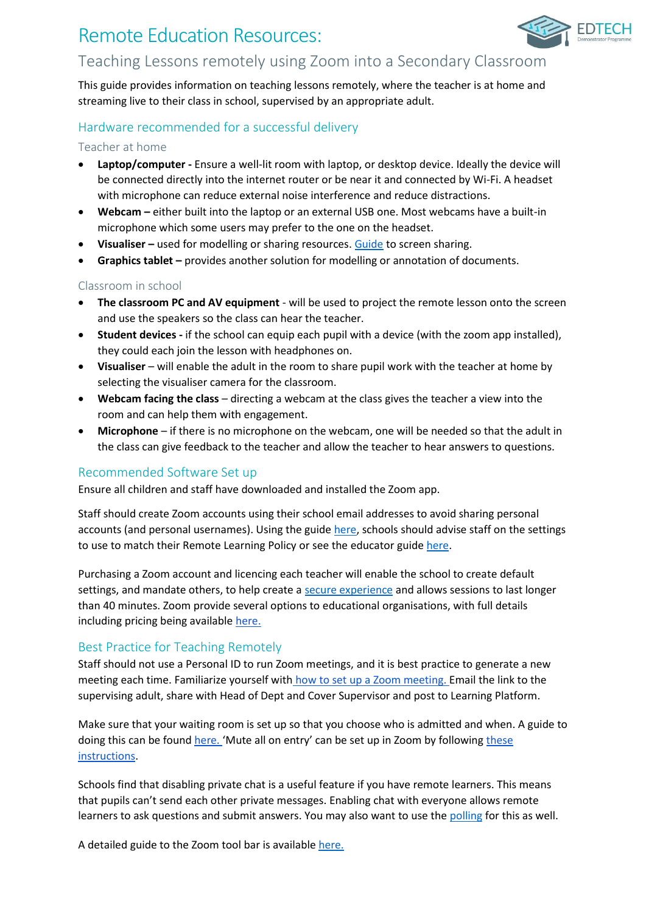# Remote Education Resources:



## Teaching Lessons remotely using Zoom into a Secondary Classroom

This guide provides information on teaching lessons remotely, where the teacher is at home and streaming live to their class in school, supervised by an appropriate adult.

## Hardware recommended for a successful delivery

### Teacher at home

- **Laptop/computer -** Ensure a well-lit room with laptop, or desktop device. Ideally the device will be connected directly into the internet router or be near it and connected by Wi-Fi. A headset with microphone can reduce external noise interference and reduce distractions.
- **Webcam –** either built into the laptop or an external USB one. Most webcams have a built-in microphone which some users may prefer to the one on the headset.
- **Visualiser –** used for modelling or sharing resources. [Guide](https://support.zoom.us/hc/en-us/articles/201362153-Sharing-your-screen-or-desktop-on-Zoom) to screen sharing.
- **Graphics tablet –** provides another solution for modelling or annotation of documents.

### Classroom in school

- **The classroom PC and AV equipment** will be used to project the remote lesson onto the screen and use the speakers so the class can hear the teacher.
- **Student devices -** if the school can equip each pupil with a device (with the zoom app installed), they could each join the lesson with headphones on.
- **Visualiser** will enable the adult in the room to share pupil work with the teacher at home by selecting the visualiser camera for the classroom.
- **Webcam facing the class** directing a webcam at the class gives the teacher a view into the room and can help them with engagement.
- **Microphone** if there is no microphone on the webcam, one will be needed so that the adult in the class can give feedback to the teacher and allow the teacher to hear answers to questions.

### Recommended Software Set up

Ensure all children and staff have downloaded and installed the Zoom app.

Staff should create Zoom accounts using their school email addresses to avoid sharing personal accounts (and personal usernames). Using the guide [here,](https://blog.zoom.us/keep-uninvited-guests-out-of-your-zoom-meeting/) schools should advise staff on the settings to use to match their Remote Learning Policy or see the educator guide [here.](https://explore.zoom.us/docs/en-us/educator-guide.html)

Purchasing a Zoom account and licencing each teacher will enable the school to create default settings, and mandate others, to help create [a secure experience](https://blog.zoom.us/keep-uninvited-guests-out-of-your-zoom-meeting/) and allows sessions to last longer than 40 minutes. Zoom provide several options to educational organisations, with full details including pricing being available [here.](https://zoom.us/buy?plan=education&from=education)

### Best Practice for Teaching Remotely

Staff should not use a Personal ID to run Zoom meetings, and it is best practice to generate a new meeting each time. Familiarize yourself with [how to set up a Zoom meeting.](https://support.zoom.us/hc/en-us/articles/360034967471-Getting-started-guide-for-new-users) Email the link to the supervising adult, share with Head of Dept and Cover Supervisor and post to Learning Platform.

Make sure that your waiting room is set up so that you choose who is admitted and when. A guide to doing this can be found [here.](https://support.zoom.us/hc/en-us/articles/115000332726-Waiting-Room) 'Mute all on entry' can be set up in Zoom by following these [instructions.](https://support.zoom.us/hc/en-us/articles/360060860512-Muting-all-participants-when-they-join-a-meeting)

Schools find that disabling private chat is a useful feature if you have remote learners. This means that pupils can't send each other private messages. Enabling chat with everyone allows remote learners to ask questions and submit answers. You may also want to use th[e polling](https://support.zoom.us/hc/en-us/articles/213756303-Polling-for-Meetings) for this as well.

A detailed guide to the Zoom tool bar is availabl[e here.](https://support.zoom.us/hc/en-us/articles/360021921032-Zoom-Room-meeting-controls-and-settings)